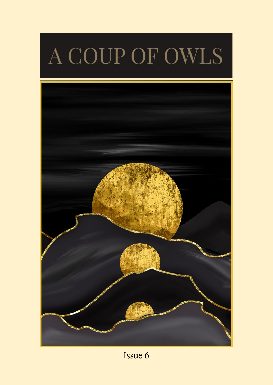# A COUP OF OWLS



Issue 6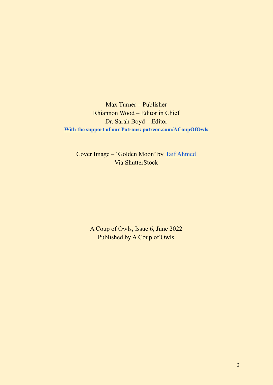Max Turner – Publisher Rhiannon Wood – Editor in Chief Dr. Sarah Boyd – Editor **[With the support of our Patrons: patreon.com/ACoupOfOwls](https://www.patreon.com/ACoupOfOwls)**

Cover Image – 'Golden Moon' by Taif [Ahmed](https://www.shutterstock.com/g/taif+ahmed) Via ShutterStock

> A Coup of Owls, Issue 6, June 2022 Published by A Coup of Owls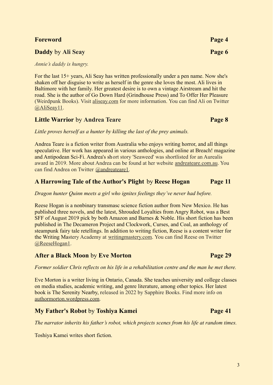### **Foreword Page 4**

### **Daddy** by **Ali** Seay **Page 6**

*Annie's daddy is hungry.*

For the last 15+ years, Ali Seay has written professionally under a pen name. Now she's shaken off her disguise to write as herself in the genre she loves the most. Ali lives in Baltimore with her family. Her greatest desire is to own a vintage Airstream and hit the road. She is the author of Go Down Hard (Grindhouse Press) and To Offer Her Pleasure (Weirdpunk Books). Visit [aliseay.com](https://aliseay.com/) for more information. You can find Ali on Twitter [@AliSeay11](https://twitter.com/AliSeay11).

### **Little Warrior** by **Andrea Teare Page 8**

*Little proves herself as a hunter by killing the last of the prey animals.*

Andrea Teare is a fiction writer from Australia who enjoys writing horror, and all things speculative. Her work has appeared in various anthologies, and online at Breach! magazine and Antipodean Sci-Fi. Andrea's short story 'Seaweed' was shortlisted for an Aurealis award in 2019. More about Andrea can be found at her website [andreateare.com.au](http://www.andreateare.com.au/). You can find Andrea on Twitter [@andreateare1.](https://twitter.com/andreateare1)

### **A Harrowing Tale of the Author's Plight** by **Reese Hogan Page 11**

*Dragon hunter Quinn meets a girl who ignites feelings they've never had before.*

Reese Hogan is a nonbinary transmasc science fiction author from New Mexico. He has published three novels, and the latest, Shrouded Loyalties from Angry Robot, was a Best SFF of August 2019 pick by both Amazon and Barnes & Noble. His short fiction has been published in The Decameron Project and Clockwork, Curses, and Coal, an anthology of steampunk fairy tale retellings. In addition to writing fiction, Reese is a content writer for the Writing Mastery Academy at [writingmastery.com.](https://www.writingmastery.com/) You can find Reese on Twitter [@ReeseHogan1](https://twitter.com/ReeseHogan1).

### **After a Black Moon** by **Eve Morton Page 29**

*Former soldier Chris reflects on his life in a rehabilitation centre and the man he met there.*

Eve Morton is a writer living in Ontario, Canada. She teaches university and college classes on media studies, academic writing, and genre literature, among other topics. Her latest book is The Serenity Nearby, released in 2022 by Sapphire Books. Find more info on [authormorton.wordpress.com](https://authormorton.wordpress.com/).

### **My Father's Robot** by **Toshiya Kamei Page 41**

*The narrator inherits his father's robot, which projects scenes from his life at random times.*

Toshiya Kamei writes short fiction.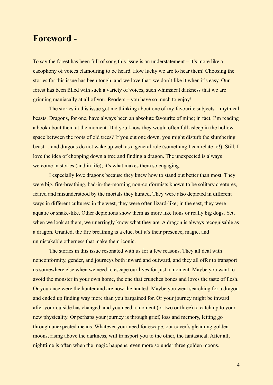### **Foreword -**

To say the forest has been full of song this issue is an understatement – it's more like a cacophony of voices clamouring to be heard. How lucky we are to hear them! Choosing the stories for this issue has been tough, and we love that; we don't like it when it's easy. Our forest has been filled with such a variety of voices, such whimsical darkness that we are grinning maniacally at all of you. Readers – you have so much to enjoy!

The stories in this issue got me thinking about one of my favourite subjects – mythical beasts. Dragons, for one, have always been an absolute favourite of mine; in fact, I'm reading a book about them at the moment. Did you know they would often fall asleep in the hollow space between the roots of old trees? If you cut one down, you might disturb the slumbering beast… and dragons do not wake up well as a general rule (something I can relate to!). Still, I love the idea of chopping down a tree and finding a dragon. The unexpected is always welcome in stories (and in life); it's what makes them so engaging.

I especially love dragons because they knew how to stand out better than most. They were big, fire-breathing, bad-in-the-morning non-conformists known to be solitary creatures, feared and misunderstood by the mortals they hunted. They were also depicted in different ways in different cultures: in the west, they were often lizard-like; in the east, they were aquatic or snake-like. Other depictions show them as more like lions or really big dogs. Yet, when we look at them, we unerringly know what they are. A dragon is always recognisable as a dragon. Granted, the fire breathing is a clue, but it's their presence, magic, and unmistakable otherness that make them iconic.

The stories in this issue resonated with us for a few reasons. They all deal with nonconformity, gender, and journeys both inward and outward, and they all offer to transport us somewhere else when we need to escape our lives for just a moment. Maybe you want to avoid the monster in your own home, the one that crunches bones and loves the taste of flesh. Or you once were the hunter and are now the hunted. Maybe you went searching for a dragon and ended up finding way more than you bargained for. Or your journey might be inward after your outside has changed, and you need a moment (or two or three) to catch up to your new physicality. Or perhaps your journey is through grief, loss and memory, letting go through unexpected means. Whatever your need for escape, our cover's gleaming golden moons, rising above the darkness, will transport you to the other, the fantastical. After all, nighttime is often when the magic happens, even more so under three golden moons.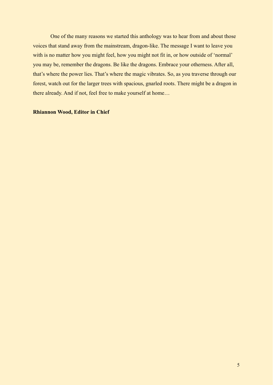One of the many reasons we started this anthology was to hear from and about those voices that stand away from the mainstream, dragon-like. The message I want to leave you with is no matter how you might feel, how you might not fit in, or how outside of 'normal' you may be, remember the dragons. Be like the dragons. Embrace your otherness. After all, that's where the power lies. That's where the magic vibrates. So, as you traverse through our forest, watch out for the larger trees with spacious, gnarled roots. There might be a dragon in there already. And if not, feel free to make yourself at home…

### **Rhiannon Wood, Editor in Chief**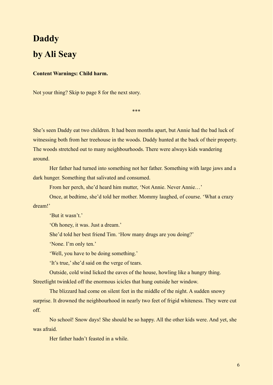# **Daddy by Ali Seay**

### **Content Warnings: Child harm.**

Not your thing? Skip to page 8 for the next story.

\*\*\*

She's seen Daddy eat two children. It had been months apart, but Annie had the bad luck of witnessing both from her treehouse in the woods. Daddy hunted at the back of their property. The woods stretched out to many neighbourhoods. There were always kids wandering around.

Her father had turned into something not her father. Something with large jaws and a dark hunger. Something that salivated and consumed.

From her perch, she'd heard him mutter, 'Not Annie. Never Annie…'

Once, at bedtime, she'd told her mother. Mommy laughed, of course. 'What a crazy dream!'

'But it wasn't.'

'Oh honey, it was. Just a dream.'

She'd told her best friend Tim. 'How many drugs are you doing?'

'None. I'm only ten.'

'Well, you have to be doing something.'

'It's true,' she'd said on the verge of tears.

Outside, cold wind licked the eaves of the house, howling like a hungry thing.

Streetlight twinkled off the enormous icicles that hung outside her window.

The blizzard had come on silent feet in the middle of the night. A sudden snowy surprise. It drowned the neighbourhood in nearly two feet of frigid whiteness. They were cut off.

No school! Snow days! She should be so happy. All the other kids were. And yet, she was afraid.

Her father hadn't feasted in a while.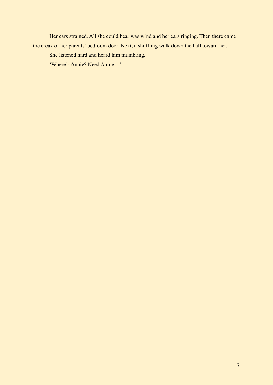Her ears strained. All she could hear was wind and her ears ringing. Then there came the creak of her parents' bedroom door. Next, a shuffling walk down the hall toward her.

She listened hard and heard him mumbling.

'Where's Annie? Need Annie…'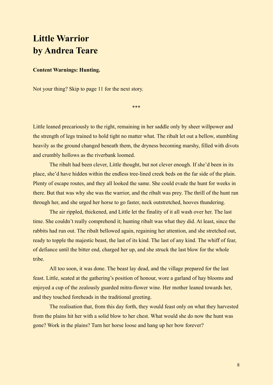# **Little Warrior by Andrea Teare**

### **Content Warnings: Hunting.**

Not your thing? Skip to page 11 for the next story.

\*\*\*

Little leaned precariously to the right, remaining in her saddle only by sheer willpower and the strength of legs trained to hold tight no matter what. The ribalt let out a bellow, stumbling heavily as the ground changed beneath them, the dryness becoming marshy, filled with divots and crumbly hollows as the riverbank loomed.

The ribalt had been clever, Little thought, but not clever enough. If she'd been in its place, she'd have hidden within the endless tree-lined creek beds on the far side of the plain. Plenty of escape routes, and they all looked the same. She could evade the hunt for weeks in there. But that was why she was the warrior, and the ribalt was prey. The thrill of the hunt ran through her, and she urged her horse to go faster, neck outstretched, hooves thundering.

The air rippled, thickened, and Little let the finality of it all wash over her. The last time. She couldn't really comprehend it; hunting ribalt was what they did. At least, since the rabbits had run out. The ribalt bellowed again, regaining her attention, and she stretched out, ready to topple the majestic beast, the last of its kind. The last of any kind. The whiff of fear, of defiance until the bitter end, charged her up, and she struck the last blow for the whole tribe.

All too soon, it was done. The beast lay dead, and the village prepared for the last feast. Little, seated at the gathering's position of honour, wore a garland of hay blooms and enjoyed a cup of the zealously guarded mitra-flower wine. Her mother leaned towards her, and they touched foreheads in the traditional greeting.

The realisation that, from this day forth, they would feast only on what they harvested from the plains hit her with a solid blow to her chest. What would she do now the hunt was gone? Work in the plains? Turn her horse loose and hang up her bow forever?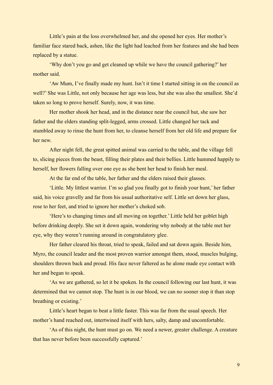Little's pain at the loss overwhelmed her, and she opened her eyes. Her mother's familiar face stared back, ashen, like the light had leached from her features and she had been replaced by a statue.

'Why don't you go and get cleaned up while we have the council gathering?' her mother said.

'Aw Mum, I've finally made my hunt. Isn't it time I started sitting in on the council as well?' She was Little, not only because her age was less, but she was also the smallest. She'd taken so long to prove herself. Surely, now, it was time.

Her mother shook her head, and in the distance near the council hut, she saw her father and the elders standing split-legged, arms crossed. Little changed her tack and stumbled away to rinse the hunt from her, to cleanse herself from her old life and prepare for her new.

After night fell, the great spitted animal was carried to the table, and the village fell to, slicing pieces from the beast, filling their plates and their bellies. Little hummed happily to herself, her flowers falling over one eye as she bent her head to finish her meal.

At the far end of the table, her father and the elders raised their glasses.

'Little. My littlest warrior. I'm so glad you finally got to finish your hunt,' her father said, his voice gravelly and far from his usual authoritative self. Little set down her glass, rose to her feet, and tried to ignore her mother's choked sob.

'Here's to changing times and all moving on together.' Little held her goblet high before drinking deeply. She set it down again, wondering why nobody at the table met her eye, why they weren't running around in congratulatory glee.

Her father cleared his throat, tried to speak, failed and sat down again. Beside him, Myro, the council leader and the most proven warrior amongst them, stood, muscles bulging, shoulders thrown back and proud. His face never faltered as he alone made eye contact with her and began to speak.

'As we are gathered, so let it be spoken. In the council following our last hunt, it was determined that we cannot stop. The hunt is in our blood, we can no sooner stop it than stop breathing or existing.'

Little's heart began to beat a little faster. This was far from the usual speech. Her mother's hand reached out, intertwined itself with hers, salty, damp and uncomfortable.

'As of this night, the hunt must go on. We need a newer, greater challenge. A creature that has never before been successfully captured.'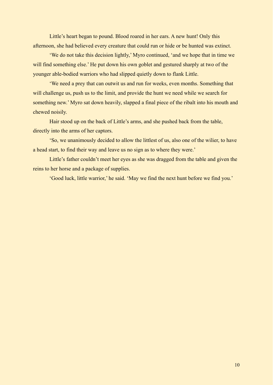Little's heart began to pound. Blood roared in her ears. A new hunt! Only this afternoon, she had believed every creature that could run or hide or be hunted was extinct.

'We do not take this decision lightly,' Myro continued, 'and we hope that in time we will find something else.' He put down his own goblet and gestured sharply at two of the younger able-bodied warriors who had slipped quietly down to flank Little.

'We need a prey that can outwit us and run for weeks, even months. Something that will challenge us, push us to the limit, and provide the hunt we need while we search for something new.' Myro sat down heavily, slapped a final piece of the ribalt into his mouth and chewed noisily.

Hair stood up on the back of Little's arms, and she pushed back from the table, directly into the arms of her captors.

'So, we unanimously decided to allow the littlest of us, also one of the wilier, to have a head start, to find their way and leave us no sign as to where they were.'

Little's father couldn't meet her eyes as she was dragged from the table and given the reins to her horse and a package of supplies.

'Good luck, little warrior,' he said. 'May we find the next hunt before we find you.'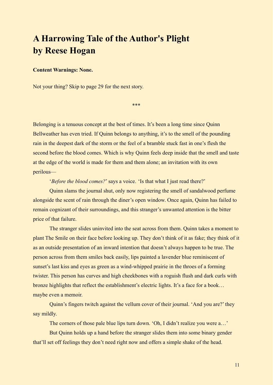# **A Harrowing Tale of the Author's Plight by Reese Hogan**

### **Content Warnings: None.**

Not your thing? Skip to page 29 for the next story.

\*\*\*

Belonging is a tenuous concept at the best of times. It's been a long time since Quinn Bellweather has even tried. If Quinn belongs to anything, it's to the smell of the pounding rain in the deepest dark of the storm or the feel of a bramble stuck fast in one's flesh the second before the blood comes. Which is why Quinn feels deep inside that the smell and taste at the edge of the world is made for them and them alone; an invitation with its own perilous—

'*Before the blood comes?*' says a voice. 'Is that what I just read there?'

Quinn slams the journal shut, only now registering the smell of sandalwood perfume alongside the scent of rain through the diner's open window. Once again, Quinn has failed to remain cognizant of their surroundings, and this stranger's unwanted attention is the bitter price of that failure.

The stranger slides uninvited into the seat across from them. Quinn takes a moment to plant The Smile on their face before looking up. They don't think of it as fake; they think of it as an outside presentation of an inward intention that doesn't always happen to be true. The person across from them smiles back easily, lips painted a lavender blue reminiscent of sunset's last kiss and eyes as green as a wind-whipped prairie in the throes of a forming twister. This person has curves and high cheekbones with a roguish flush and dark curls with bronze highlights that reflect the establishment's electric lights. It's a face for a book… maybe even a memoir.

Quinn's fingers twitch against the vellum cover of their journal. 'And you are?' they say mildly.

The corners of those pale blue lips turn down. 'Oh, I didn't realize you were a...'

But Quinn holds up a hand before the stranger slides them into some binary gender that'll set off feelings they don't need right now and offers a simple shake of the head.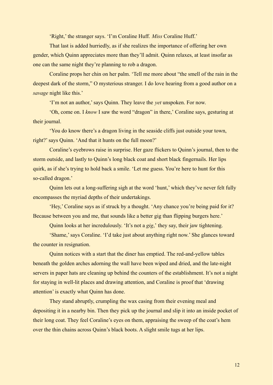'Right,' the stranger says. 'I'm Coraline Huff. *Miss* Coraline Huff.'

That last is added hurriedly, as if she realizes the importance of offering her own gender, which Quinn appreciates more than they'll admit. Quinn relaxes, at least insofar as one can the same night they're planning to rob a dragon.

Coraline props her chin on her palm. 'Tell me more about "the smell of the rain in the deepest dark of the storm," O mysterious stranger. I do love hearing from a good author on a *savage* night like this.'

'I'm not an author,' says Quinn. They leave the *yet* unspoken. For now.

'Oh, come on. I *know* I saw the word "dragon" in there,' Coraline says, gesturing at their journal.

'You do know there's a dragon living in the seaside cliffs just outside your town, right?' says Quinn. 'And that it hunts on the full moon?'

Coraline's eyebrows raise in surprise. Her gaze flickers to Quinn's journal, then to the storm outside, and lastly to Quinn's long black coat and short black fingernails. Her lips quirk, as if she's trying to hold back a smile. 'Let me guess. You're here to hunt for this so-called dragon.'

Quinn lets out a long-suffering sigh at the word 'hunt,' which they've never felt fully encompasses the myriad depths of their undertakings.

'Hey,' Coraline says as if struck by a thought. 'Any chance you're being paid for it? Because between you and me, that sounds like a better gig than flipping burgers here.'

Quinn looks at her incredulously. 'It's not a *gig*,' they say, their jaw tightening.

'Shame,' says Coraline. 'I'd take just about anything right now.' She glances toward the counter in resignation.

Quinn notices with a start that the diner has emptied. The red-and-yellow tables beneath the golden arches adorning the wall have been wiped and dried, and the late-night servers in paper hats are cleaning up behind the counters of the establishment. It's not a night for staying in well-lit places and drawing attention, and Coraline is proof that 'drawing attention' is exactly what Quinn has done.

They stand abruptly, crumpling the wax casing from their evening meal and depositing it in a nearby bin. Then they pick up the journal and slip it into an inside pocket of their long coat. They feel Coraline's eyes on them, appraising the sweep of the coat's hem over the thin chains across Quinn's black boots. A slight smile tugs at her lips.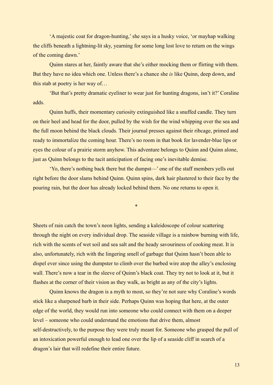'A majestic coat for dragon-hunting,' she says in a husky voice, 'or mayhap walking the cliffs beneath a lightning-lit sky, yearning for some long lost love to return on the wings of the coming dawn.'

Quinn stares at her, faintly aware that she's either mocking them or flirting with them. But they have no idea which one. Unless there's a chance she *is* like Quinn, deep down, and this stab at poetry is her way of…

'But that's pretty dramatic eyeliner to wear just for hunting dragons, isn't it?' Coraline adds.

Quinn huffs, their momentary curiosity extinguished like a snuffed candle. They turn on their heel and head for the door, pulled by the wish for the wind whipping over the sea and the full moon behind the black clouds. Their journal presses against their ribcage, primed and ready to immortalize the coming hour. There's no room in that book for lavender-blue lips or eyes the colour of a prairie storm anyhow. This adventure belongs to Quinn and Quinn alone, just as Quinn belongs to the tacit anticipation of facing one's inevitable demise.

'Yo, there's nothing back there but the dumpst—' one of the staff members yells out right before the door slams behind Quinn. Quinn spins, dark hair plastered to their face by the pouring rain, but the door has already locked behind them. No one returns to open it.

\*

Sheets of rain catch the town's neon lights, sending a kaleidoscope of colour scattering through the night on every individual drop. The seaside village is a rainbow burning with life, rich with the scents of wet soil and sea salt and the heady savouriness of cooking meat. It is also, unfortunately, rich with the lingering smell of garbage that Quinn hasn't been able to dispel ever since using the dumpster to climb over the barbed wire atop the alley's enclosing wall. There's now a tear in the sleeve of Quinn's black coat. They try not to look at it, but it flashes at the corner of their vision as they walk, as bright as any of the city's lights.

Quinn knows the dragon is a myth to most, so they're not sure why Coraline's words stick like a sharpened barb in their side. Perhaps Quinn was hoping that here, at the outer edge of the world, they would run into someone who could connect with them on a deeper level – someone who could understand the emotions that drive them, almost self-destructively, to the purpose they were truly meant for. Someone who grasped the pull of an intoxication powerful enough to lead one over the lip of a seaside cliff in search of a dragon's lair that will redefine their entire future.

13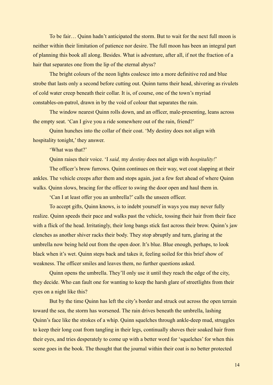To be fair… Quinn hadn't anticipated the storm. But to wait for the next full moon is neither within their limitation of patience nor desire. The full moon has been an integral part of planning this book all along. Besides. What is adventure, after all, if not the fraction of a hair that separates one from the lip of the eternal abyss?

The bright colours of the neon lights coalesce into a more definitive red and blue strobe that lasts only a second before cutting out. Quinn turns their head, shivering as rivulets of cold water creep beneath their collar. It is, of course, one of the town's myriad constables-on-patrol, drawn in by the void of colour that separates the rain.

The window nearest Quinn rolls down, and an officer, male-presenting, leans across the empty seat. 'Can I give you a ride somewhere out of the rain, friend?'

Quinn hunches into the collar of their coat. 'My destiny does not align with hospitality tonight,' they answer.

'What was that?'

Quinn raises their voice. 'I *said,* my *destiny* does not align with *hospitality!*'

The officer's brow furrows. Quinn continues on their way, wet coat slapping at their ankles. The vehicle creeps after them and stops again, just a few feet ahead of where Quinn walks. Quinn slows, bracing for the officer to swing the door open and haul them in.

'Can I at least offer you an umbrella?' calls the unseen officer.

To accept gifts, Quinn knows, is to indebt yourself in ways you may never fully realize. Quinn speeds their pace and walks past the vehicle, tossing their hair from their face with a flick of the head. Irritatingly, their long bangs stick fast across their brow. Quinn's jaw clenches as another shiver racks their body. They stop abruptly and turn, glaring at the umbrella now being held out from the open door. It's blue. Blue enough, perhaps, to look black when it's wet. Quinn steps back and takes it, feeling soiled for this brief show of weakness. The officer smiles and leaves them, no further questions asked.

Quinn opens the umbrella. They'll only use it until they reach the edge of the city, they decide. Who can fault one for wanting to keep the harsh glare of streetlights from their eyes on a night like this?

But by the time Quinn has left the city's border and struck out across the open terrain toward the sea, the storm has worsened. The rain drives beneath the umbrella, lashing Quinn's face like the strokes of a whip. Quinn squelches through ankle-deep mud, struggles to keep their long coat from tangling in their legs, continually shoves their soaked hair from their eyes, and tries desperately to come up with a better word for 'squelches' for when this scene goes in the book. The thought that the journal within their coat is no better protected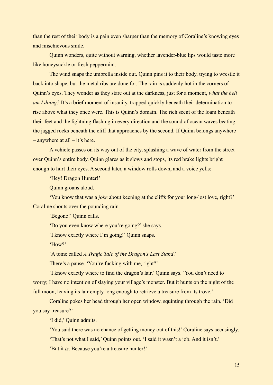than the rest of their body is a pain even sharper than the memory of Coraline's knowing eyes and mischievous smile.

Quinn wonders, quite without warning, whether lavender-blue lips would taste more like honeysuckle or fresh peppermint.

The wind snaps the umbrella inside out. Quinn pins it to their body, trying to wrestle it back into shape, but the metal ribs are done for. The rain is suddenly hot in the corners of Quinn's eyes. They wonder as they stare out at the darkness, just for a moment, *what the hell am I doing?* It's a brief moment of insanity, trapped quickly beneath their determination to rise above what they once were. This is Quinn's domain. The rich scent of the loam beneath their feet and the lightning flashing in every direction and the sound of ocean waves beating the jagged rocks beneath the cliff that approaches by the second. If Quinn belongs anywhere – anywhere at all – it's here.

A vehicle passes on its way out of the city, splashing a wave of water from the street over Quinn's entire body. Quinn glares as it slows and stops, its red brake lights bright enough to hurt their eyes. A second later, a window rolls down, and a voice yells:

'Hey! Dragon Hunter!'

Quinn groans aloud.

'You know that was a *joke* about keening at the cliffs for your long-lost love, right?' Coraline shouts over the pounding rain.

'Begone!' Quinn calls.

'Do you even know where you're going?' she says.

'I know exactly where I'm going!' Quinn snaps.

'How?'

'A tome called *A Tragic Tale of the Dragon's Last Stand*.'

There's a pause. 'You're fucking with me, right?'

'I know exactly where to find the dragon's lair,' Quinn says. 'You don't need to worry; I have no intention of slaying your village's monster. But it hunts on the night of the full moon, leaving its lair empty long enough to retrieve a treasure from its trove.'

Coraline pokes her head through her open window, squinting through the rain. 'Did you say treasure?'

'I did,' Quinn admits.

'You said there was no chance of getting money out of this!' Coraline says accusingly.

'That's not what I said,' Quinn points out. 'I said it wasn't a job. And it isn't.'

'But it *is*. Because you're a treasure hunter!'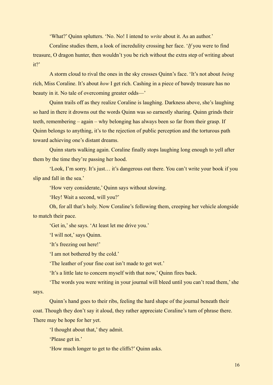'What?' Quinn splutters. 'No. No! I intend to *write* about it. As an author.'

Coraline studies them, a look of incredulity crossing her face. '*If* you were to find treasure, O dragon hunter, then wouldn't you be rich without the extra step of writing about it?'

A storm cloud to rival the ones in the sky crosses Quinn's face. 'It's not about *being* rich, Miss Coraline. It's about *how* I get rich. Cashing in a piece of bawdy treasure has no beauty in it. No tale of overcoming greater odds—'

Quinn trails off as they realize Coraline is laughing. Darkness above, she's laughing so hard in there it drowns out the words Quinn was so earnestly sharing. Quinn grinds their teeth, remembering – again – why belonging has always been so far from their grasp. If Quinn belongs to anything, it's to the rejection of public perception and the torturous path toward achieving one's distant dreams.

Quinn starts walking again. Coraline finally stops laughing long enough to yell after them by the time they're passing her hood.

'Look, I'm sorry. It's just… it's dangerous out there. You can't write your book if you slip and fall in the sea.'

'How very considerate,' Quinn says without slowing.

'Hey! Wait a second, will you?'

Oh, for all that's holy. Now Coraline's following them, creeping her vehicle alongside to match their pace.

'Get in,' she says. 'At least let me drive you.'

'I will not,' says Quinn.

'It's freezing out here!'

'I am not bothered by the cold.'

'The leather of your fine coat isn't made to get wet.'

'It's a little late to concern myself with that now,' Quinn fires back.

'The words you were writing in your journal will bleed until you can't read them,' she says.

Quinn's hand goes to their ribs, feeling the hard shape of the journal beneath their coat. Though they don't say it aloud, they rather appreciate Coraline's turn of phrase there. There may be hope for her yet.

'I thought about that,' they admit.

'Please get in.'

'How much longer to get to the cliffs?' Quinn asks.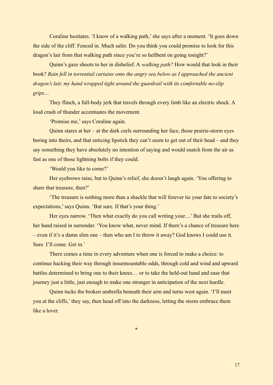Coraline hesitates. 'I know of a walking path,' she says after a moment. 'It goes down the side of the cliff. Fenced in. Much safer. Do you think you could promise to look for this dragon's lair from that walking path since you're so hellbent on going tonight?'

Quinn's gaze shoots to her in disbelief. A *walking path?* How would that look in their book? *Rain fell in torrential curtains onto the angry sea below as I approached the ancient dragon's lair, my hand wrapped tight around the guardrail with its comfortable no-slip grips…*

They flinch, a full-body jerk that travels through every limb like an electric shock. A loud crash of thunder accentuates the movement.

'Promise me,' says Coraline again.

Quinn stares at her – at the dark curls surrounding her face, those prairie-storm eyes boring into theirs, and that enticing lipstick they can't seem to get out of their head – and they say something they have absolutely no intention of saying and would snatch from the air as fast as one of those lightning bolts if they could.

'Would you like to come?'

Her eyebrows raise, but to Quinn's relief, she doesn't laugh again. 'You offering to share that treasure, then?'

'The treasure is nothing more than a shackle that will forever tie your fate to society's expectations,' says Quinn. 'But sure. If that's your thing.'

Her eyes narrow. 'Then what exactly do you call writing your…' But she trails off, her hand raised in surrender. 'You know what, never mind. If there's a chance of treasure here – even if it's a damn slim one – then who am I to throw it away? God knows I could use it. Sure. I'll come. Get in.'

There comes a time in every adventure when one is forced to make a choice: to continue hacking their way through insurmountable odds, through cold and wind and upward battles determined to bring one to their knees… or to take the held-out hand and ease that journey just a little, just enough to make one stronger in anticipation of the next hurdle.

Quinn tucks the broken umbrella beneath their arm and turns west again. 'I'll meet you at the cliffs,' they say, then head off into the darkness, letting the storm embrace them like a lover.

\*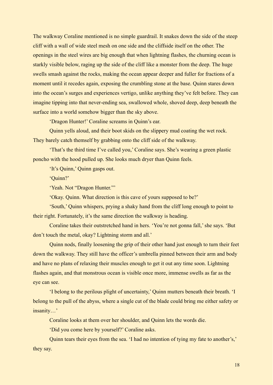The walkway Coraline mentioned is no simple guardrail. It snakes down the side of the steep cliff with a wall of wide steel mesh on one side and the cliffside itself on the other. The openings in the steel wires are big enough that when lightning flashes, the churning ocean is starkly visible below, raging up the side of the cliff like a monster from the deep. The huge swells smash against the rocks, making the ocean appear deeper and fuller for fractions of a moment until it recedes again, exposing the crumbling stone at the base. Quinn stares down into the ocean's surges and experiences vertigo, unlike anything they've felt before. They can imagine tipping into that never-ending sea, swallowed whole, shoved deep, deep beneath the surface into a world somehow bigger than the sky above.

'Dragon Hunter!' Coraline screams in Quinn's ear.

Quinn yells aloud, and their boot skids on the slippery mud coating the wet rock. They barely catch themself by grabbing onto the cliff side of the walkway.

'That's the third time I've called you,' Coraline says. She's wearing a green plastic poncho with the hood pulled up. She looks much dryer than Quinn feels.

'It's Quinn,' Quinn gasps out.

'Quinn?'

'Yeah. Not "Dragon Hunter."'

'Okay. Quinn. What direction is this cave of yours supposed to be?'

'South,' Quinn whispers, prying a shaky hand from the cliff long enough to point to their right. Fortunately, it's the same direction the walkway is heading.

Coraline takes their outstretched hand in hers. 'You're not gonna fall,' she says. 'But don't touch the metal, okay? Lightning storm and all.'

Quinn nods, finally loosening the grip of their other hand just enough to turn their feet down the walkway. They still have the officer's umbrella pinned between their arm and body and have no plans of relaxing their muscles enough to get it out any time soon. Lightning flashes again, and that monstrous ocean is visible once more, immense swells as far as the eye can see.

'I belong to the perilous plight of uncertainty,' Quinn mutters beneath their breath. 'I belong to the pull of the abyss, where a single cut of the blade could bring me either safety or insanity…'

Coraline looks at them over her shoulder, and Quinn lets the words die.

'Did you come here by yourself?' Coraline asks.

Quinn tears their eyes from the sea. 'I had no intention of tying my fate to another's,' they say.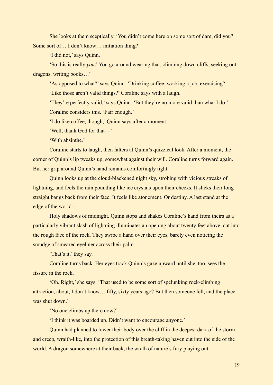She looks at them sceptically. 'You didn't come here on some sort of dare, did you? Some sort of… I don't know… initiation thing?'

'I did not,' says Quinn.

'So this is really *you?* You go around wearing that, climbing down cliffs, seeking out dragons, writing books…'

'As opposed to what?' says Quinn. 'Drinking coffee, working a job, exercising?'

'Like those aren't valid things?' Coraline says with a laugh.

'They're perfectly valid,' says Quinn. 'But they're no more valid than what I do.' Coraline considers this. 'Fair enough.'

'I do like coffee, though,' Quinn says after a moment.

'Well, thank God for that—'

'With absinthe.'

Coraline starts to laugh, then falters at Quinn's quizzical look. After a moment, the corner of Quinn's lip tweaks up, somewhat against their will. Coraline turns forward again. But her grip around Quinn's hand remains comfortingly tight.

Quinn looks up at the cloud-blackened night sky, strobing with vicious streaks of lightning, and feels the rain pounding like ice crystals upon their cheeks. It slicks their long straight bangs back from their face. It feels like atonement. Or destiny. A last stand at the edge of the world—

Holy shadows of midnight. Quinn stops and shakes Coraline's hand from theirs as a particularly vibrant slash of lightning illuminates an opening about twenty feet above, cut into the rough face of the rock. They swipe a hand over their eyes, barely even noticing the smudge of smeared eyeliner across their palm.

'That's it,' they say.

Coraline turns back. Her eyes track Quinn's gaze upward until she, too, sees the fissure in the rock.

'Oh. Right,' she says. 'That used to be some sort of spelunking rock-climbing attraction, about, I don't know… fifty, sixty years ago? But then someone fell, and the place was shut down.'

'No one climbs up there now?'

'I think it was boarded up. Didn't want to encourage anyone.'

Quinn had planned to lower their body over the cliff in the deepest dark of the storm and creep, wraith-like, into the protection of this breath-taking haven cut into the side of the world. A dragon somewhere at their back, the wrath of nature's fury playing out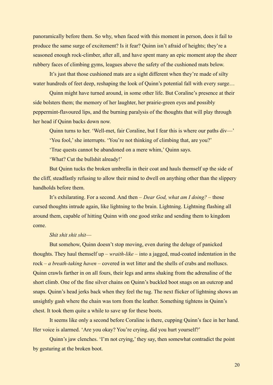panoramically before them. So why, when faced with this moment in person, does it fail to produce the same surge of excitement? Is it fear? Quinn isn't afraid of heights; they're a seasoned enough rock-climber, after all, and have spent many an epic moment atop the sheer rubbery faces of climbing gyms, leagues above the safety of the cushioned mats below.

It's just that those cushioned mats are a sight different when they're made of silty water hundreds of feet deep, reshaping the look of Quinn's potential fall with every surge...

Quinn might have turned around, in some other life. But Coraline's presence at their side bolsters them; the memory of her laughter, her prairie-green eyes and possibly peppermint-flavoured lips, and the burning paralysis of the thoughts that will play through her head if Quinn backs down now.

Quinn turns to her. 'Well-met, fair Coraline, but I fear this is where our paths div—'

'You fool,' she interrupts. 'You're not thinking of climbing that, are you?'

'True quests cannot be abandoned on a mere whim,' Quinn says.

'What? Cut the bullshit already!'

But Quinn tucks the broken umbrella in their coat and hauls themself up the side of the cliff, steadfastly refusing to allow their mind to dwell on anything other than the slippery handholds before them.

It's exhilarating. For a second. And then – *Dear God, what am I doing?* – those cursed thoughts intrude again, like lightning to the brain. Lightning. Lightning flashing all around them, capable of hitting Quinn with one good strike and sending them to kingdom come.

### *Shit shit shit shit*—

But somehow, Quinn doesn't stop moving, even during the deluge of panicked thoughts. They haul themself up – *wraith-like* – into a jagged, mud-coated indentation in the rock – *a breath-taking haven* – covered in wet litter and the shells of crabs and molluscs. Quinn crawls farther in on all fours, their legs and arms shaking from the adrenaline of the short climb. One of the fine silver chains on Quinn's buckled boot snags on an outcrop and snaps. Quinn's head jerks back when they feel the tug. The next flicker of lightning shows an unsightly gash where the chain was torn from the leather. Something tightens in Quinn's chest. It took them quite a while to save up for these boots.

It seems like only a second before Coraline is there, cupping Quinn's face in her hand. Her voice is alarmed. 'Are you okay? You're crying, did you hurt yourself?'

Quinn's jaw clenches. 'I'm not crying,' they say, then somewhat contradict the point by gesturing at the broken boot.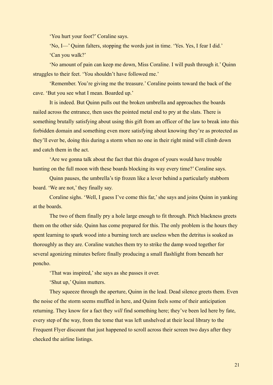'You hurt your foot?' Coraline says.

'No, I—' Quinn falters, stopping the words just in time. 'Yes. Yes, I fear I did.' 'Can you walk?'

'No amount of pain can keep me down, Miss Coraline. I will push through it.' Quinn struggles to their feet. 'You shouldn't have followed me.'

'Remember. You're giving me the treasure.' Coraline points toward the back of the cave. 'But you see what I mean. Boarded up.'

It is indeed. But Quinn pulls out the broken umbrella and approaches the boards nailed across the entrance, then uses the pointed metal end to pry at the slats. There is something brutally satisfying about using this gift from an officer of the law to break into this forbidden domain and something even more satisfying about knowing they're as protected as they'll ever be, doing this during a storm when no one in their right mind will climb down and catch them in the act.

'Are we gonna talk about the fact that this dragon of yours would have trouble hunting on the full moon with these boards blocking its way every time?' Coraline says.

Quinn pauses, the umbrella's tip frozen like a lever behind a particularly stubborn board. 'We are not,' they finally say.

Coraline sighs. 'Well, I guess I've come this far,' she says and joins Quinn in yanking at the boards.

The two of them finally pry a hole large enough to fit through. Pitch blackness greets them on the other side. Quinn has come prepared for this. The only problem is the hours they spent learning to spark wood into a burning torch are useless when the detritus is soaked as thoroughly as they are. Coraline watches them try to strike the damp wood together for several agonizing minutes before finally producing a small flashlight from beneath her poncho.

'That was inspired,' she says as she passes it over.

'Shut up,' Quinn mutters.

They squeeze through the aperture, Quinn in the lead. Dead silence greets them. Even the noise of the storm seems muffled in here, and Quinn feels some of their anticipation returning. They know for a fact they *will* find something here; they've been led here by fate, every step of the way, from the tome that was left unshelved at their local library to the Frequent Flyer discount that just happened to scroll across their screen two days after they checked the airline listings.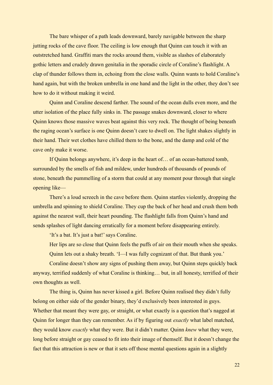The bare whisper of a path leads downward, barely navigable between the sharp jutting rocks of the cave floor. The ceiling is low enough that Quinn can touch it with an outstretched hand. Graffiti mars the rocks around them, visible as slashes of elaborately gothic letters and crudely drawn genitalia in the sporadic circle of Coraline's flashlight. A clap of thunder follows them in, echoing from the close walls. Quinn wants to hold Coraline's hand again, but with the broken umbrella in one hand and the light in the other, they don't see how to do it without making it weird.

Quinn and Coraline descend farther. The sound of the ocean dulls even more, and the utter isolation of the place fully sinks in. The passage snakes downward, closer to where Quinn knows those massive waves beat against this very rock. The thought of being beneath the raging ocean's surface is one Quinn doesn't care to dwell on. The light shakes slightly in their hand. Their wet clothes have chilled them to the bone, and the damp and cold of the cave only make it worse.

If Quinn belongs anywhere, it's deep in the heart of… of an ocean-battered tomb, surrounded by the smells of fish and mildew, under hundreds of thousands of pounds of stone, beneath the pummelling of a storm that could at any moment pour through that single opening like—

There's a loud screech in the cave before them. Quinn startles violently, dropping the umbrella and spinning to shield Coraline. They cup the back of her head and crush them both against the nearest wall, their heart pounding. The flashlight falls from Quinn's hand and sends splashes of light dancing erratically for a moment before disappearing entirely.

'It's a bat. It's just a bat!' says Coraline.

Her lips are so close that Quinn feels the puffs of air on their mouth when she speaks.

Quinn lets out a shaky breath. 'I—I was fully cognizant of that. But thank you.'

Coraline doesn't show any signs of pushing them away, but Quinn steps quickly back anyway, terrified suddenly of what Coraline is thinking… but, in all honesty, terrified of their own thoughts as well.

The thing is, Quinn has never kissed a girl. Before Quinn realised they didn't fully belong on either side of the gender binary, they'd exclusively been interested in guys. Whether that meant they were gay, or straight, or what exactly is a question that's nagged at Quinn for longer than they can remember. As if by figuring out *exactly* what label matched, they would know *exactly* what they were. But it didn't matter. Quinn *knew* what they were, long before straight or gay ceased to fit into their image of themself. But it doesn't change the fact that this attraction is new or that it sets off those mental questions again in a slightly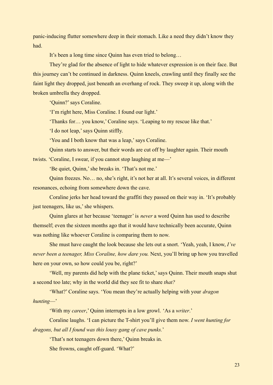panic-inducing flutter somewhere deep in their stomach. Like a need they didn't know they had.

It's been a long time since Quinn has even tried to belong…

They're glad for the absence of light to hide whatever expression is on their face. But this journey can't be continued in darkness. Quinn kneels, crawling until they finally see the faint light they dropped, just beneath an overhang of rock. They sweep it up, along with the broken umbrella they dropped.

'Quinn?' says Coraline.

'I'm right here, Miss Coraline. I found our light.'

'Thanks for… you know,' Coraline says. 'Leaping to my rescue like that.'

'I do not leap,' says Quinn stiffly.

'You and I both know that was a leap,' says Coraline.

Quinn starts to answer, but their words are cut off by laughter again. Their mouth

twists. 'Coraline, I swear, if you cannot stop laughing at me—'

'Be quiet, Quinn,' she breaks in. 'That's not me.'

Quinn freezes. No… no, she's right, it's not her at all. It's several voices, in different resonances, echoing from somewhere down the cave.

Coraline jerks her head toward the graffiti they passed on their way in. 'It's probably just teenagers, like us,' she whispers.

Quinn glares at her because 'teenager' is *never* a word Quinn has used to describe themself; even the sixteen months ago that it would have technically been accurate, Quinn was nothing like whoever Coraline is comparing them to now.

She must have caught the look because she lets out a snort. 'Yeah, yeah, I know, *I've never been a teenager, Miss Coraline, how dare you.* Next, you'll bring up how you travelled here on your own, so how could you be, right?'

'Well, my parents did help with the plane ticket,' says Quinn. Their mouth snaps shut a second too late; why in the world did they see fit to share *that?*

'What?' Coraline says. 'You mean they're actually helping with your *dragon hunting*—'

'With my *career*,' Quinn interrupts in a low growl. 'As a *writer*.'

Coraline laughs. 'I can picture the T-shirt you'll give them now. *I went hunting for dragons, but all I found was this lousy gang of cave punks.*'

'That's not teenagers down there,' Quinn breaks in.

She frowns, caught off-guard. 'What?'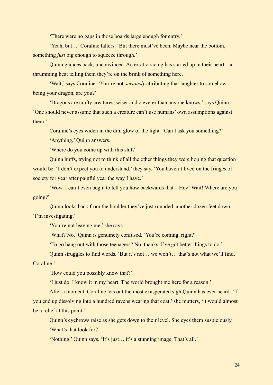'There were no gaps in those boards large enough for entry.'

'Yeah, but…' Coraline falters. 'But there must've been. Maybe near the bottom, something *just* big enough to squeeze through.'

Quinn glances back, unconvinced. An erratic racing has started up in their heart –  $a$ thrumming beat telling them they're on the brink of something here.

'Wait,' says Coraline. 'You're not *seriously* attributing that laughter to somehow being your dragon, are you?'

'Dragons are crafty creatures, wiser and cleverer than anyone knows,' says Quinn. 'One should never assume that such a creature can't use humans' own assumptions against them<sup>'</sup>

Coraline's eyes widen in the dim glow of the light. 'Can I ask you something?'

'Anything,' Quinn answers.

'Where do you come up with this shit?'

Quinn huffs, trying not to think of all the other things they were hoping that question would be. 'I don't expect you to understand,' they say. 'You haven't lived on the fringes of society for year after painful year the way I have.'

'Wow. I can't even begin to tell you how backwards that—Hey! Wait! Where are you going?'

Quinn looks back from the boulder they've just rounded, another dozen feet down. 'I'm investigating.'

'You're not leaving me,' she says.

'What? No.' Quinn is genuinely confused. 'You're coming, right?'

'To go hang out with those teenagers? No, thanks. I've got better things to do.'

Quinn struggles to find words. 'But it's not… we won't… that's not what we'll find, Coraline.'

'How could you possibly know that?'

'I just do. I know it in my heart. The world brought me here for a reason.'

After a moment, Coraline lets out the most exasperated sigh Quinn has ever heard. 'If you end up dissolving into a hundred ravens wearing that coat,' she mutters, 'it would almost be a relief at this point.'

Quinn's eyebrows raise as she gets down to their level. She eyes them suspiciously.

'What's that look for?'

'Nothing,' Quinn says. 'It's just… it's a stunning image. That's all.'

24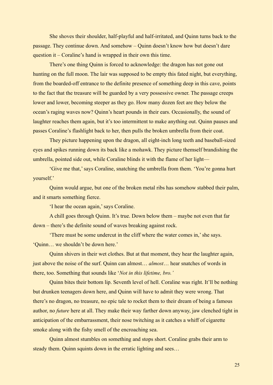She shoves their shoulder, half-playful and half-irritated, and Quinn turns back to the passage. They continue down. And somehow – Quinn doesn't know how but doesn't dare question it – Coraline's hand is wrapped in their own this time.

There's one thing Quinn is forced to acknowledge: the dragon has not gone out hunting on the full moon. The lair was supposed to be empty this fated night, but everything, from the boarded-off entrance to the definite presence of something deep in this cave, points to the fact that the treasure will be guarded by a very possessive owner. The passage creeps lower and lower, becoming steeper as they go. How many dozen feet are they below the ocean's raging waves now? Quinn's heart pounds in their ears. Occasionally, the sound of laughter reaches them again, but it's too intermittent to make anything out. Quinn pauses and passes Coraline's flashlight back to her, then pulls the broken umbrella from their coat.

They picture happening upon the dragon, all eight-inch long teeth and baseball-sized eyes and spikes running down its back like a mohawk. They picture themself brandishing the umbrella, pointed side out, while Coraline blinds it with the flame of her light—

'Give me that,' says Coraline, snatching the umbrella from them. 'You're gonna hurt yourself.'

Quinn would argue, but one of the broken metal ribs has somehow stabbed their palm, and it smarts something fierce.

'I hear the ocean again,' says Coraline.

A chill goes through Quinn. It's true. Down below them – maybe not even that far down – there's the definite sound of waves breaking against rock.

'There must be some undercut in the cliff where the water comes in,' she says. 'Quinn… we shouldn't be down here.'

Quinn shivers in their wet clothes. But at that moment, they hear the laughter again, just above the noise of the surf. Quinn can almost… *almost*… hear snatches of words in there, too. Something that sounds like '*Not in this lifetime, bro.'*

Quinn bites their bottom lip. Seventh level of hell. Coraline was right. It'll be nothing but drunken teenagers down here, and Quinn will have to admit they were wrong. That there's no dragon, no treasure, no epic tale to rocket them to their dream of being a famous author, no *future* here at all. They make their way farther down anyway, jaw clenched tight in anticipation of the embarrassment, their nose twitching as it catches a whiff of cigarette smoke along with the fishy smell of the encroaching sea.

Quinn almost stumbles on something and stops short. Coraline grabs their arm to steady them. Quinn squints down in the erratic lighting and sees…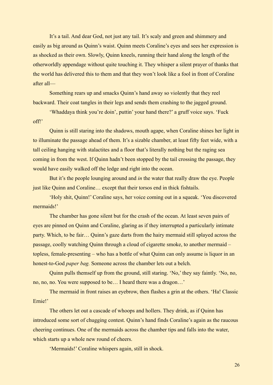It's a tail. And dear God, not just any tail. It's scaly and green and shimmery and easily as big around as Quinn's waist. Quinn meets Coraline's eyes and sees her expression is as shocked as their own. Slowly, Quinn kneels, running their hand along the length of the otherworldly appendage without quite touching it. They whisper a silent prayer of thanks that the world has delivered this to them and that they won't look like a fool in front of Coraline after all—

Something rears up and smacks Quinn's hand away so violently that they reel backward. Their coat tangles in their legs and sends them crashing to the jagged ground.

'Whaddaya think you're doin', puttin' your hand there?' a gruff voice says. 'Fuck off!'

Quinn is still staring into the shadows, mouth agape, when Coraline shines her light in to illuminate the passage ahead of them. It's a sizable chamber, at least fifty feet wide, with a tall ceiling hanging with stalactites and a floor that's literally nothing but the raging sea coming in from the west. If Quinn hadn't been stopped by the tail crossing the passage, they would have easily walked off the ledge and right into the ocean.

But it's the people lounging around and *in* the water that really draw the eye. People just like Quinn and Coraline… except that their torsos end in thick fishtails.

'Holy shit, Quinn!' Coraline says, her voice coming out in a squeak. 'You discovered mermaids!'

The chamber has gone silent but for the crash of the ocean. At least seven pairs of eyes are pinned on Quinn and Coraline, glaring as if they interrupted a particularly intimate party. Which, to be fair… Quinn's gaze darts from the hairy mermaid still splayed across the passage, coolly watching Quinn through a cloud of cigarette smoke, to another mermaid – topless, female-presenting – who has a bottle of what Quinn can only assume is liquor in an honest-to-God *paper bag.* Someone across the chamber lets out a belch.

Quinn pulls themself up from the ground, still staring. 'No,' they say faintly. 'No, no, no, no, no. You were supposed to be… I heard there was a dragon…'

The mermaid in front raises an eyebrow, then flashes a grin at the others. 'Ha! Classic Ernie!'

The others let out a cascade of whoops and hollers. They drink, as if Quinn has introduced some sort of chugging contest. Quinn's hand finds Coraline's again as the raucous cheering continues. One of the mermaids across the chamber tips and falls into the water, which starts up a whole new round of cheers.

'Mermaids!' Coraline whispers again, still in shock.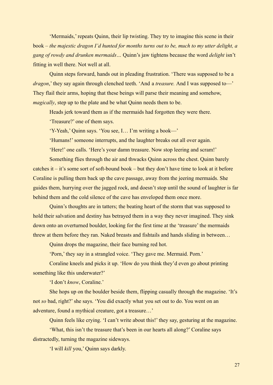'Mermaids,' repeats Quinn, their lip twisting. They try to imagine this scene in their book – *the majestic dragon I'd hunted for months turns out to be, much to my utter delight, a gang of rowdy and drunken mermaids…* Quinn's jaw tightens because the word *delight* isn't fitting in well there. Not well at all.

Quinn steps forward, hands out in pleading frustration. 'There was supposed to be a *dragon*,' they say again through clenched teeth. 'And a *treasure.* And I was supposed to—' They flail their arms, hoping that these beings will parse their meaning and somehow, *magically*, step up to the plate and be what Quinn needs them to be.

Heads jerk toward them as if the mermaids had forgotten they were there.

'Treasure?' one of them says.

'Y-Yeah,' Quinn says. 'You see, I… I'm writing a book—'

'Humans!' someone interrupts, and the laughter breaks out all over again.

'Here!' one calls. 'Here's your damn treasure. Now stop leering and scram!'

Something flies through the air and thwacks Quinn across the chest. Quinn barely catches it – it's some sort of soft-bound book – but they don't have time to look at it before Coraline is pulling them back up the cave passage, away from the jeering mermaids. She guides them, hurrying over the jagged rock, and doesn't stop until the sound of laughter is far behind them and the cold silence of the cave has enveloped them once more.

Quinn's thoughts are in tatters; the beating heart of the storm that was supposed to hold their salvation and destiny has betrayed them in a way they never imagined. They sink down onto an overturned boulder, looking for the first time at the 'treasure' the mermaids threw at them before they ran. Naked breasts and fishtails and hands sliding in between…

Quinn drops the magazine, their face burning red hot.

'Porn,' they say in a strangled voice. 'They gave me. Mermaid. Porn.'

Coraline kneels and picks it up. 'How do you think they'd even go about printing something like this underwater?'

'I don't *know*, Coraline.'

She hops up on the boulder beside them, flipping casually through the magazine. 'It's not *so* bad, right?' she says. 'You did exactly what you set out to do. You went on an adventure, found a mythical creature, got a treasure…'

Quinn feels like crying. 'I can't write about this!' they say, gesturing at the magazine.

'What, this isn't the treasure that's been in our hearts all along?' Coraline says distractedly, turning the magazine sideways.

'I will *kill* you,' Quinn says darkly.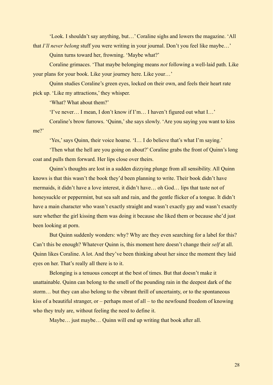'Look. I shouldn't say anything, but…' Coraline sighs and lowers the magazine. 'All that *I'll never belong* stuff you were writing in your journal. Don't you feel like maybe…'

Quinn turns toward her, frowning. 'Maybe what?'

Coraline grimaces. 'That maybe belonging means *not* following a well-laid path. Like your plans for your book. Like your journey here. Like your…'

Quinn studies Coraline's green eyes, locked on their own, and feels their heart rate pick up. 'Like my attractions,' they whisper.

'What? What about them?'

'I've never… I mean, I don't know if I'm… I haven't figured out what I…'

Coraline's brow furrows. 'Quinn,' she says slowly. 'Are you saying you want to kiss me?'

'Yes,' says Quinn, their voice hoarse. 'I… I do believe that's what I'm saying.'

'Then what the hell are you going on about?' Coraline grabs the front of Quinn's long coat and pulls them forward. Her lips close over theirs.

Quinn's thoughts are lost in a sudden dizzying plunge from all sensibility. All Quinn knows is that this wasn't the book they'd been planning to write. Their book didn't have mermaids, it didn't have a love interest, it didn't have… oh God… lips that taste not of honeysuckle or peppermint, but sea salt and rain, and the gentle flicker of a tongue. It didn't have a main character who wasn't exactly straight and wasn't exactly gay and wasn't exactly sure whether the girl kissing them was doing it because she liked them or because she'd just been looking at porn.

But Quinn suddenly wonders: why? Why are they even searching for a label for this? Can't this be enough? Whatever Quinn is, this moment here doesn't change their *self* at all. Quinn likes Coraline. A lot. And they've been thinking about her since the moment they laid eyes on her. That's really all there is to it.

Belonging is a tenuous concept at the best of times. But that doesn't make it unattainable. Quinn can belong to the smell of the pounding rain in the deepest dark of the storm… but they can also belong to the vibrant thrill of uncertainty, or to the spontaneous kiss of a beautiful stranger, or – perhaps most of all – to the newfound freedom of knowing who they truly are, without feeling the need to define it.

Maybe... just maybe... Quinn will end up writing that book after all.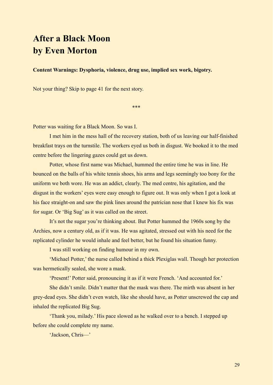# **After a Black Moon by Even Morton**

**Content Warnings: Dysphoria, violence, drug use, implied sex work, bigotry.**

Not your thing? Skip to page 41 for the next story.

\*\*\*

Potter was waiting for a Black Moon. So was I.

I met him in the mess hall of the recovery station, both of us leaving our half-finished breakfast trays on the turnstile. The workers eyed us both in disgust. We booked it to the med centre before the lingering gazes could get us down.

Potter, whose first name was Michael, hummed the entire time he was in line. He bounced on the balls of his white tennis shoes, his arms and legs seemingly too bony for the uniform we both wore. He was an addict, clearly. The med centre, his agitation, and the disgust in the workers' eyes were easy enough to figure out. It was only when I got a look at his face straight-on and saw the pink lines around the patrician nose that I knew his fix was for sugar. Or 'Big Sug' as it was called on the street.

It's not the sugar you're thinking about. But Potter hummed the 1960s song by the Archies, now a century old, as if it was. He was agitated, stressed out with his need for the replicated cylinder he would inhale and feel better, but he found his situation funny.

I was still working on finding humour in my own.

'Michael Potter,' the nurse called behind a thick Plexiglas wall. Though her protection was hermetically sealed, she wore a mask.

'Present!' Potter said, pronouncing it as if it were French. 'And accounted for.'

She didn't smile. Didn't matter that the mask was there. The mirth was absent in her grey-dead eyes. She didn't even watch, like she should have, as Potter unscrewed the cap and inhaled the replicated Big Sug.

'Thank you, milady.' His pace slowed as he walked over to a bench. I stepped up before she could complete my name.

'Jackson, Chris—'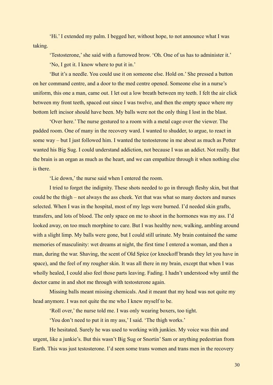'Hi.' I extended my palm. I begged her, without hope, to not announce what I was taking.

'Testosterone,' she said with a furrowed brow. 'Oh. One of us has to administer it.' 'No, I got it. I know where to put it in.'

'But it's a needle. You could use it on someone else. Hold on.' She pressed a button on her command centre, and a door to the med centre opened. Someone else in a nurse's uniform, this one a man, came out. I let out a low breath between my teeth. I felt the air click between my front teeth, spaced out since I was twelve, and then the empty space where my bottom left incisor should have been. My balls were not the only thing I lost in the blast.

'Over here.' The nurse gestured to a room with a metal cage over the viewer. The padded room. One of many in the recovery ward. I wanted to shudder, to argue, to react in some way – but I just followed him. I wanted the testosterone in me about as much as Potter wanted his Big Sug. I could understand addiction, not because I was an addict. Not really. But the brain is an organ as much as the heart, and we can empathize through it when nothing else is there.

'Lie down,' the nurse said when I entered the room.

I tried to forget the indignity. These shots needed to go in through fleshy skin, but that could be the thigh – not always the ass cheek. Yet that was what so many doctors and nurses selected. When I was in the hospital, most of my legs were burned. I'd needed skin grafts, transfers, and lots of blood. The only space on me to shoot in the hormones was my ass. I'd looked away, on too much morphine to care. But I was healthy now, walking, ambling around with a slight limp. My balls were gone, but I could still urinate. My brain contained the same memories of masculinity: wet dreams at night, the first time I entered a woman, and then a man, during the war. Shaving, the scent of Old Spice (or knockoff brands they let you have in space), and the feel of my rougher skin. It was all there in my brain, except that when I was wholly healed, I could also feel those parts leaving. Fading. I hadn't understood why until the doctor came in and shot me through with testosterone again.

Missing balls meant missing chemicals. And it meant that my head was not quite my head anymore. I was not quite the me who I knew myself to be.

'Roll over,' the nurse told me. I was only wearing boxers, too tight.

'You don't need to put it in my ass,' I said. 'The thigh works.'

He hesitated. Surely he was used to working with junkies. My voice was thin and urgent, like a junkie's. But this wasn't Big Sug or Snortin' Sam or anything pedestrian from Earth. This was just testosterone. I'd seen some trans women and trans men in the recovery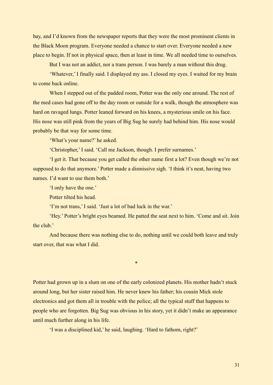bay, and I'd known from the newspaper reports that they were the most prominent clients in the Black Moon program. Everyone needed a chance to start over. Everyone needed a new place to begin. If not in physical space, then at least in time. We all needed time to ourselves.

But I was not an addict, nor a trans person. I was barely a man without this drug.

'Whatever,' I finally said. I displayed my ass. I closed my eyes. I waited for my brain to come back online.

When I stepped out of the padded room, Potter was the only one around. The rest of the med cases had gone off to the day room or outside for a walk, though the atmosphere was hard on ravaged lungs. Potter leaned forward on his knees, a mysterious smile on his face. His nose was still pink from the years of Big Sug he surely had behind him. His nose would probably be that way for some time.

'What's your name?' he asked.

'Christopher,' I said. 'Call me Jackson, though. I prefer surnames.'

'I get it. That because you get called the other name first a lot? Even though we're not supposed to do that anymore.' Potter made a dismissive sigh. 'I think it's neat, having two names. I'd want to use them both.'

'I only have the one.'

Potter tilted his head.

'I'm not trans,' I said. 'Just a lot of bad luck in the war.'

'Hey.' Potter's bright eyes beamed. He patted the seat next to him. 'Come and sit. Join the club.'

And because there was nothing else to do, nothing until we could both leave and truly start over, that was what I did.

\*

Potter had grown up in a slum on one of the early colonized planets. His mother hadn't stuck around long, but her sister raised him. He never knew his father; his cousin Mick stole electronics and got them all in trouble with the police; all the typical stuff that happens to people who are forgotten. Big Sug was obvious in his story, yet it didn't make an appearance until much further along in his life.

'I was a disciplined kid,' he said, laughing. 'Hard to fathom, right?'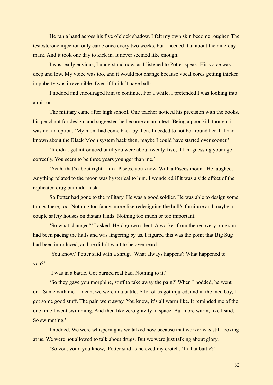He ran a hand across his five o'clock shadow. I felt my own skin become rougher. The testosterone injection only came once every two weeks, but I needed it at about the nine-day mark. And it took one day to kick in. It never seemed like enough.

I was really envious, I understand now, as I listened to Potter speak. His voice was deep and low. My voice was too, and it would not change because vocal cords getting thicker in puberty was irreversible. Even if I didn't have balls.

I nodded and encouraged him to continue. For a while, I pretended I was looking into a mirror.

The military came after high school. One teacher noticed his precision with the books, his penchant for design, and suggested he become an architect. Being a poor kid, though, it was not an option. 'My mom had come back by then. I needed to not be around her. If I had known about the Black Moon system back then, maybe I could have started over sooner.'

'It didn't get introduced until you were about twenty-five, if I'm guessing your age correctly. You seem to be three years younger than me.'

'Yeah, that's about right. I'm a Pisces, you know. With a Pisces moon.' He laughed. Anything related to the moon was hysterical to him. I wondered if it was a side effect of the replicated drug but didn't ask.

So Potter had gone to the military. He was a good soldier. He was able to design some things there, too. Nothing too fancy, more like redesigning the hull's furniture and maybe a couple safety houses on distant lands. Nothing too much or too important.

'So what changed?' I asked. He'd grown silent. A worker from the recovery program had been pacing the halls and was lingering by us. I figured this was the point that Big Sug had been introduced, and he didn't want to be overheard.

'You know,' Potter said with a shrug. 'What always happens? What happened to you?'

'I was in a battle. Got burned real bad. Nothing to it.'

'So they gave you morphine, stuff to take away the pain?' When I nodded, he went on. 'Same with me. I mean, we were in a battle. A lot of us got injured, and in the med bay, I got some good stuff. The pain went away. You know, it's all warm like. It reminded me of the one time I went swimming. And then like zero gravity in space. But more warm, like I said. So swimming.'

I nodded. We were whispering as we talked now because that worker was still looking at us. We were not allowed to talk about drugs. But we were just talking about glory.

'So you, your, you know,' Potter said as he eyed my crotch. 'In that battle?'

32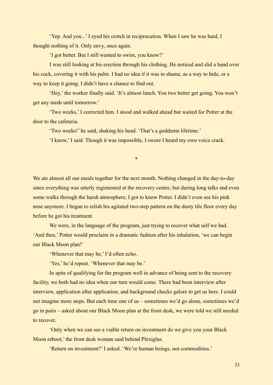'Yep. And you...' I eyed his crotch in reciprocation. When I saw he was hard, I thought nothing of it. Only envy, once again.

'I got better. But I still wanted to swim, you know?'

I was still looking at his erection through his clothing. He noticed and slid a hand over his cock, covering it with his palm. I had no idea if it was in shame, as a way to hide, or a way to keep it going. I didn't have a chance to find out.

'Hey,' the worker finally said. 'It's almost lunch. You two better get going. You won't get any meds until tomorrow.'

'Two weeks,' I corrected him. I stood and walked ahead but waited for Potter at the door to the cafeteria.

'Two weeks!' he said, shaking his head. 'That's a goddamn lifetime.'

'I know,' I said. Though it was impossible, I swore I heard my own voice crack.

\*

We ate almost all our meals together for the next month. Nothing changed in the day-to-day since everything was utterly regimented at the recovery centre, but during long talks and even some walks through the harsh atmosphere, I got to know Potter. I didn't even see his pink nose anymore. I began to relish his agitated two-step pattern on the dusty tile floor every day before he got his treatment.

We were, in the language of the program, just trying to recover what self we had. 'And then,' Potter would proclaim in a dramatic fashion after his inhalation, 'we can begin our Black Moon plan!'

'Whenever that may be,' I'd often echo.

'Yes,' he'd repeat. 'Whenever that may be.'

In spite of qualifying for the program well in advance of being sent to the recovery facility, we both had no idea when our turn would come. There had been interview after interview, application after application, and background checks galore to get us here. I could not imagine more steps. But each time one of us – sometimes we'd go alone, sometimes we'd go in pairs – asked about our Black Moon plan at the front desk, we were told we still needed to recover.

'Only when we can see a viable return on investment do we give you your Black Moon reboot,' the front desk woman said behind Plexiglas.

'Return on investment?' I asked. 'We're human beings, not commodities.'

33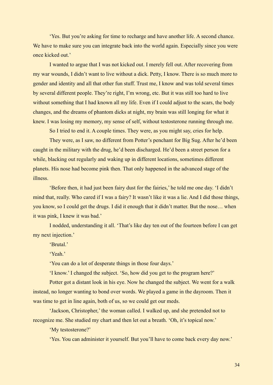'Yes. But you're asking for time to recharge and have another life. A second chance. We have to make sure you can integrate back into the world again. Especially since you were once kicked out.'

I wanted to argue that I was not kicked out. I merely fell out. After recovering from my war wounds, I didn't want to live without a dick. Petty, I know. There is so much more to gender and identity and all that other fun stuff. Trust me, I know and was told several times by several different people. They're right, I'm wrong, etc. But it was still too hard to live without something that I had known all my life. Even if I could adjust to the scars, the body changes, and the dreams of phantom dicks at night, my brain was still longing for what it knew. I was losing my memory, my sense of self, without testosterone running through me.

So I tried to end it. A couple times. They were, as you might say, cries for help.

They were, as I saw, no different from Potter's penchant for Big Sug. After he'd been caught in the military with the drug, he'd been discharged. He'd been a street person for a while, blacking out regularly and waking up in different locations, sometimes different planets. His nose had become pink then. That only happened in the advanced stage of the illness.

'Before then, it had just been fairy dust for the fairies,' he told me one day. 'I didn't mind that, really. Who cared if I was a fairy? It wasn't like it was a lie. And I did those things, you know, so I could get the drugs. I did it enough that it didn't matter. But the nose… when it was pink, I knew it was bad.'

I nodded, understanding it all. 'That's like day ten out of the fourteen before I can get my next injection.'

'Brutal<sup>'</sup>

'Yeah.'

'You can do a lot of desperate things in those four days.'

'I know.' I changed the subject. 'So, how did you get to the program here?'

Potter got a distant look in his eye. Now he changed the subject. We went for a walk instead, no longer wanting to bond over words. We played a game in the dayroom. Then it was time to get in line again, both of us, so we could get our meds.

'Jackson, Christopher,' the woman called. I walked up, and she pretended not to recognize me. She studied my chart and then let out a breath. 'Oh, it's topical now.'

'My testosterone?'

'Yes. You can administer it yourself. But you'll have to come back every day now.'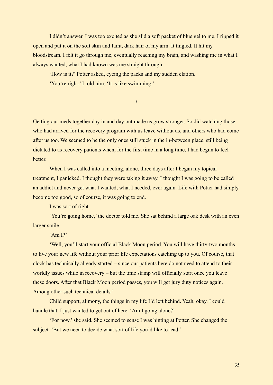I didn't answer. I was too excited as she slid a soft packet of blue gel to me. I ripped it open and put it on the soft skin and faint, dark hair of my arm. It tingled. It hit my bloodstream. I felt it go through me, eventually reaching my brain, and washing me in what I always wanted, what I had known was me straight through.

'How is it?' Potter asked, eyeing the packs and my sudden elation.

'You're right,' I told him. 'It is like swimming.'

\*

Getting our meds together day in and day out made us grow stronger. So did watching those who had arrived for the recovery program with us leave without us, and others who had come after us too. We seemed to be the only ones still stuck in the in-between place, still being dictated to as recovery patients when, for the first time in a long time, I had begun to feel better.

When I was called into a meeting, alone, three days after I began my topical treatment, I panicked. I thought they were taking it away. I thought I was going to be called an addict and never get what I wanted, what I needed, ever again. Life with Potter had simply become too good, so of course, it was going to end.

I was sort of right.

'You're going home,' the doctor told me. She sat behind a large oak desk with an even larger smile.

 $'Am I$ ?

'Well, you'll start your official Black Moon period. You will have thirty-two months to live your new life without your prior life expectations catching up to you. Of course, that clock has technically already started – since our patients here do not need to attend to their worldly issues while in recovery – but the time stamp will officially start once you leave these doors. After that Black Moon period passes, you will get jury duty notices again. Among other such technical details.'

Child support, alimony, the things in my life I'd left behind. Yeah, okay. I could handle that. I just wanted to get out of here. 'Am I going alone?'

'For now,' she said. She seemed to sense I was hinting at Potter. She changed the subject. 'But we need to decide what sort of life you'd like to lead.'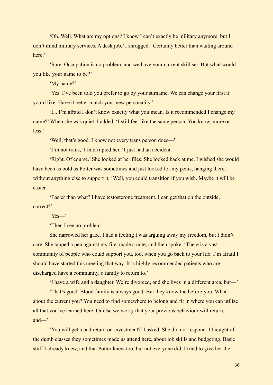'Oh. Well. What are my options? I know I can't exactly be military anymore, but I don't mind military services. A desk job.' I shrugged. 'Certainly better than waiting around here<sup>'</sup>

'Sure. Occupation is no problem, and we have your current skill set. But what would you like your name to be?'

'My name?'

'Yes. I've been told you prefer to go by your surname. We can change your first if you'd like. Have it better match your new personality.'

'I... I'm afraid I don't know exactly what you mean. Is it recommended I change my name?' When she was quiet, I added, 'I still feel like the same person. You know, more or less.'

'Well, that's good. I know not every trans person does—'

'I'm not trans,' I interrupted her. 'I just had an accident.'

'Right. Of course.' She looked at her files. She looked back at me. I wished she would have been as bold as Potter was sometimes and just looked for my penis, hanging there, without anything else to support it. 'Well, you could transition if you wish. Maybe it will be easier.'

'Easier than what? I have testosterone treatment. I can get that on the outside, correct?'

'Yes—'

'Then I see no problem.'

She narrowed her gaze. I had a feeling I was arguing away my freedom, but I didn't care. She tapped a pen against my file, made a note, and then spoke. 'There is a vast community of people who could support you, too, when you go back to your life. I'm afraid I should have started this meeting that way. It is highly recommended patients who are discharged have a community, a family to return to.'

'I have a wife and a daughter. We're divorced, and she lives in a different area, but—'

'That's good. Blood family is always good. But they know the before-you. What about the current you? You need to find somewhere to belong and fit in where you can utilize all that you've learned here. Or else we worry that your previous behaviour will return, and—'

'You will get a bad return on investment?' I asked. She did not respond. I thought of the dumb classes they sometimes made us attend here, about job skills and budgeting. Basic stuff I already knew, and that Potter knew too, but not everyone did. I tried to give her the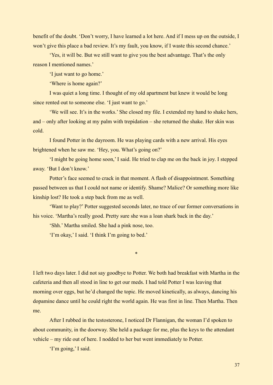benefit of the doubt. 'Don't worry, I have learned a lot here. And if I mess up on the outside, I won't give this place a bad review. It's my fault, you know, if I waste this second chance.'

'Yes, it will be. But we still want to give you the best advantage. That's the only reason I mentioned names.'

'I just want to go home.'

'Where is home again?'

I was quiet a long time. I thought of my old apartment but knew it would be long since rented out to someone else. 'I just want to go.'

'We will see. It's in the works.' She closed my file. I extended my hand to shake hers, and – only after looking at my palm with trepidation – she returned the shake. Her skin was cold.

I found Potter in the dayroom. He was playing cards with a new arrival. His eyes brightened when he saw me. 'Hey, you. What's going on?'

'I might be going home soon,' I said. He tried to clap me on the back in joy. I stepped away. 'But I don't know.'

Potter's face seemed to crack in that moment. A flash of disappointment. Something passed between us that I could not name or identify. Shame? Malice? Or something more like kinship lost? He took a step back from me as well.

'Want to play?' Potter suggested seconds later, no trace of our former conversations in his voice. 'Martha's really good. Pretty sure she was a loan shark back in the day.'

'Shh.' Martha smiled. She had a pink nose, too.

'I'm okay,' I said. 'I think I'm going to bed.'

I left two days later. I did not say goodbye to Potter. We both had breakfast with Martha in the cafeteria and then all stood in line to get our meds. I had told Potter I was leaving that morning over eggs, but he'd changed the topic. He moved kinetically, as always, dancing his dopamine dance until he could right the world again. He was first in line. Then Martha. Then me.

\*

After I rubbed in the testosterone, I noticed Dr Flannigan, the woman I'd spoken to about community, in the doorway. She held a package for me, plus the keys to the attendant vehicle – my ride out of here. I nodded to her but went immediately to Potter.

'I'm going,' I said.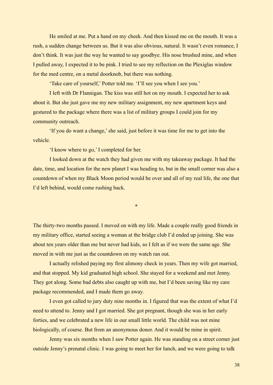He smiled at me. Put a hand on my cheek. And then kissed me on the mouth. It was a rush, a sudden change between us. But it was also obvious, natural. It wasn't even romance, I don't think. It was just the way he wanted to say goodbye. His nose brushed mine, and when I pulled away, I expected it to be pink. I tried to see my reflection on the Plexiglas window for the med centre, on a metal doorknob, but there was nothing.

'Take care of yourself,' Potter told me. 'I'll see you when I see you.'

I left with Dr Flannigan. The kiss was still hot on my mouth. I expected her to ask about it. But she just gave me my new military assignment, my new apartment keys and gestured to the package where there was a list of military groups I could join for my community outreach.

'If you do want a change,' she said, just before it was time for me to get into the vehicle.

'I know where to go,' I completed for her.

I looked down at the watch they had given me with my takeaway package. It had the date, time, and location for the new planet I was heading to, but in the small corner was also a countdown of when my Black Moon period would be over and all of my real life, the one that I'd left behind, would come rushing back.

\*

The thirty-two months passed. I moved on with my life. Made a couple really good friends in my military office, started seeing a woman at the bridge club I'd ended up joining. She was about ten years older than me but never had kids, so I felt as if we were the same age. She moved in with me just as the countdown on my watch ran out.

I actually relished paying my first alimony check in years. Then my wife got married, and that stopped. My kid graduated high school. She stayed for a weekend and met Jenny. They got along. Some bad debts also caught up with me, but I'd been saving like my care package recommended, and I made them go away.

I even got called to jury duty nine months in. I figured that was the extent of what I'd need to attend to. Jenny and I got married. She got pregnant, though she was in her early forties, and we celebrated a new life in our small little world. The child was not mine biologically, of course. But from an anonymous donor. And it would be mine in spirit.

Jenny was six months when I saw Potter again. He was standing on a street corner just outside Jenny's prenatal clinic. I was going to meet her for lunch, and we were going to talk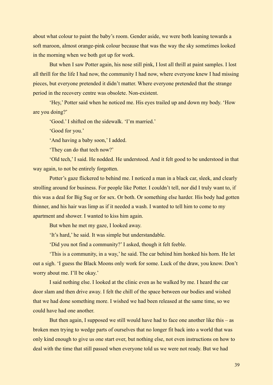about what colour to paint the baby's room. Gender aside, we were both leaning towards a soft maroon, almost orange-pink colour because that was the way the sky sometimes looked in the morning when we both got up for work.

But when I saw Potter again, his nose still pink, I lost all thrill at paint samples. I lost all thrill for the life I had now, the community I had now, where everyone knew I had missing pieces, but everyone pretended it didn't matter. Where everyone pretended that the strange period in the recovery centre was obsolete. Non-existent.

'Hey,' Potter said when he noticed me. His eyes trailed up and down my body. 'How are you doing?'

'Good.' I shifted on the sidewalk. 'I'm married.'

'Good for you.'

'And having a baby soon,' I added.

'They can do that tech now?'

'Old tech,' I said. He nodded. He understood. And it felt good to be understood in that way again, to not be entirely forgotten.

Potter's gaze flickered to behind me. I noticed a man in a black car, sleek, and clearly strolling around for business. For people like Potter. I couldn't tell, nor did I truly want to, if this was a deal for Big Sug or for sex. Or both. Or something else harder. His body had gotten thinner, and his hair was limp as if it needed a wash. I wanted to tell him to come to my apartment and shower. I wanted to kiss him again.

But when he met my gaze, I looked away.

'It's hard,' he said. It was simple but understandable.

'Did you not find a community?' I asked, though it felt feeble.

'This is a community, in a way,' he said. The car behind him honked his horn. He let out a sigh. 'I guess the Black Moons only work for some. Luck of the draw, you know. Don't worry about me. I'll be okay.'

I said nothing else. I looked at the clinic even as he walked by me. I heard the car door slam and then drive away. I felt the chill of the space between our bodies and wished that we had done something more. I wished we had been released at the same time, so we could have had one another.

But then again, I supposed we still would have had to face one another like this – as broken men trying to wedge parts of ourselves that no longer fit back into a world that was only kind enough to give us one start over, but nothing else, not even instructions on how to deal with the time that still passed when everyone told us we were not ready. But we had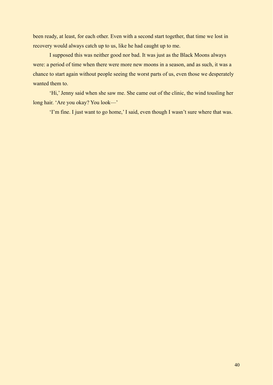been ready, at least, for each other. Even with a second start together, that time we lost in recovery would always catch up to us, like he had caught up to me.

I supposed this was neither good nor bad. It was just as the Black Moons always were: a period of time when there were more new moons in a season, and as such, it was a chance to start again without people seeing the worst parts of us, even those we desperately wanted them to.

'Hi,' Jenny said when she saw me. She came out of the clinic, the wind tousling her long hair. 'Are you okay? You look—'

'I'm fine. I just want to go home,' I said, even though I wasn't sure where that was.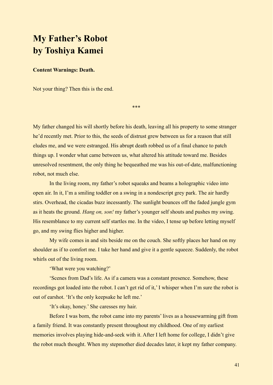# **My Father's Robot by Toshiya Kamei**

### **Content Warnings: Death.**

Not your thing? Then this is the end.

\*\*\*

My father changed his will shortly before his death, leaving all his property to some stranger he'd recently met. Prior to this, the seeds of distrust grew between us for a reason that still eludes me, and we were estranged. His abrupt death robbed us of a final chance to patch things up. I wonder what came between us, what altered his attitude toward me. Besides unresolved resentment, the only thing he bequeathed me was his out-of-date, malfunctioning robot, not much else.

In the living room, my father's robot squeaks and beams a holographic video into open air. In it, I'm a smiling toddler on a swing in a nondescript grey park. The air hardly stirs. Overhead, the cicadas buzz incessantly. The sunlight bounces off the faded jungle gym as it heats the ground. *Hang on, son!* my father's younger self shouts and pushes my swing. His resemblance to my current self startles me. In the video, I tense up before letting myself go, and my swing flies higher and higher.

My wife comes in and sits beside me on the couch. She softly places her hand on my shoulder as if to comfort me. I take her hand and give it a gentle squeeze. Suddenly, the robot whirls out of the living room.

'What were you watching?'

'Scenes from Dad's life. As if a camera was a constant presence. Somehow, these recordings got loaded into the robot. I can't get rid of it,' I whisper when I'm sure the robot is out of earshot. 'It's the only keepsake he left me.'

'It's okay, honey.' She caresses my hair.

Before I was born, the robot came into my parents' lives as a housewarming gift from a family friend. It was constantly present throughout my childhood. One of my earliest memories involves playing hide-and-seek with it. After I left home for college, I didn't give the robot much thought. When my stepmother died decades later, it kept my father company.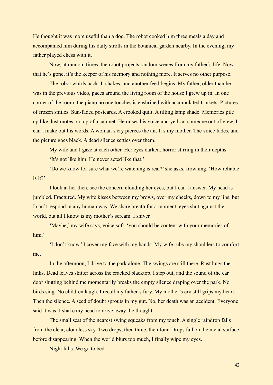He thought it was more useful than a dog. The robot cooked him three meals a day and accompanied him during his daily strolls in the botanical garden nearby. In the evening, my father played chess with it.

Now, at random times, the robot projects random scenes from my father's life. Now that he's gone, it's the keeper of his memory and nothing more. It serves no other purpose.

The robot whirls back. It shakes, and another feed begins. My father, older than he was in the previous video, paces around the living room of the house I grew up in. In one corner of the room, the piano no one touches is enshrined with accumulated trinkets. Pictures of frozen smiles. Sun-faded postcards. A crooked quilt. A tilting lamp shade. Memories pile up like dust motes on top of a cabinet. He raises his voice and yells at someone out of view. I can't make out his words. A woman's cry pierces the air. It's my mother. The voice fades, and the picture goes black. A dead silence settles over them.

My wife and I gaze at each other. Her eyes darken, horror stirring in their depths.

'It's not like him. He never acted like that.'

'Do we know for sure what we're watching is real?' she asks, frowning. 'How reliable is it?'

I look at her then, see the concern clouding her eyes, but I can't answer. My head is jumbled. Fractured. My wife kisses between my brows, over my cheeks, down to my lips, but I can't respond in any human way. We share breath for a moment, eyes shut against the world, but all I know is my mother's scream. I shiver.

'Maybe,' my wife says, voice soft, 'you should be content with your memories of him'

'I don't know.' I cover my face with my hands. My wife rubs my shoulders to comfort me.

In the afternoon, I drive to the park alone. The swings are still there. Rust hugs the links. Dead leaves skitter across the cracked blacktop. I step out, and the sound of the car door shutting behind me momentarily breaks the empty silence draping over the park. No birds sing. No children laugh. I recall my father's fury. My mother's cry still grips my heart. Then the silence. A seed of doubt sprouts in my gut. No, her death was an accident. Everyone said it was. I shake my head to drive away the thought.

The small seat of the nearest swing squeaks from my touch. A single raindrop falls from the clear, cloudless sky. Two drops, then three, then four. Drops fall on the metal surface before disappearing. When the world blurs too much, I finally wipe my eyes.

Night falls. We go to bed.